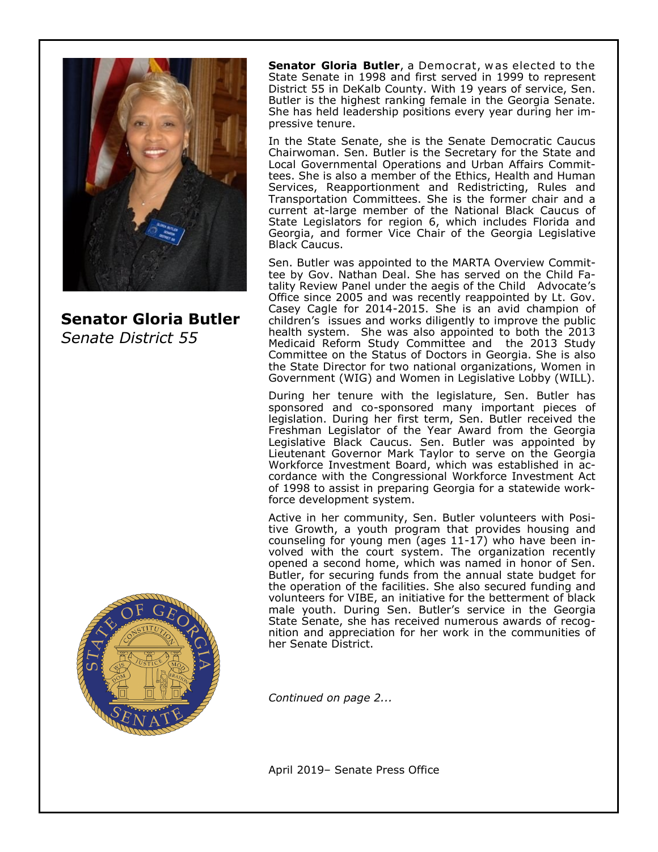

**Senator Gloria Butler** *Senate District 55*

**Senator Gloria Butler**, a Democrat, was elected to the State Senate in 1998 and first served in 1999 to represent District 55 in DeKalb County. With 19 years of service, Sen. Butler is the highest ranking female in the Georgia Senate. She has held leadership positions every year during her impressive tenure.

In the State Senate, she is the Senate Democratic Caucus Chairwoman. Sen. Butler is the Secretary for the State and Local Governmental Operations and Urban Affairs Committees. She is also a member of the Ethics, Health and Human Services, Reapportionment and Redistricting, Rules and Transportation Committees. She is the former chair and a current at-large member of the National Black Caucus of State Legislators for region 6, which includes Florida and Georgia, and former Vice Chair of the Georgia Legislative Black Caucus.

Sen. Butler was appointed to the MARTA Overview Committee by Gov. Nathan Deal. She has served on the Child Fatality Review Panel under the aegis of the Child Advocate's Office since 2005 and was recently reappointed by Lt. Gov. Casey Cagle for 2014-2015. She is an avid champion of children's issues and works diligently to improve the public health system. She was also appointed to both the 2013 Medicaid Reform Study Committee and the 2013 Study Committee on the Status of Doctors in Georgia. She is also the State Director for two national organizations, Women in Government (WIG) and Women in Legislative Lobby (WILL).

During her tenure with the legislature, Sen. Butler has sponsored and co-sponsored many important pieces of legislation. During her first term, Sen. Butler received the Freshman Legislator of the Year Award from the Georgia Legislative Black Caucus. Sen. Butler was appointed by Lieutenant Governor Mark Taylor to serve on the Georgia Workforce Investment Board, which was established in accordance with the Congressional Workforce Investment Act of 1998 to assist in preparing Georgia for a statewide workforce development system.

Active in her community, Sen. Butler volunteers with Positive Growth, a youth program that provides housing and counseling for young men (ages 11-17) who have been involved with the court system. The organization recently opened a second home, which was named in honor of Sen. Butler, for securing funds from the annual state budget for the operation of the facilities. She also secured funding and volunteers for VIBE, an initiative for the betterment of black male youth. During Sen. Butler's service in the Georgia State Senate, she has received numerous awards of recognition and appreciation for her work in the communities of her Senate District.

*Continued on page 2...*

April 2019– Senate Press Office